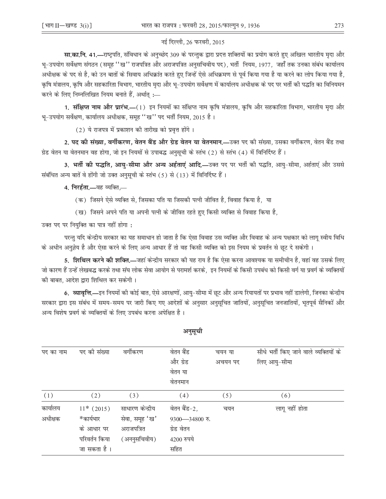## नई दिल्ली, 26 फरवरी, 2015

**सा.का.नि. 41.—**राष्ट्रपति, संविधान के अनुच्छेद 309 के परन्तुक द्वारा प्रदत्त शक्तियों का प्रयोग करते हुए अखिल भारतीय मृदा और भू–उपयोग सर्वेक्षण संगठन (समूह ''ख'' राजपत्रित और अराजपत्रित अनुसचिवीय पद), भर्ती नियम, 1977, जहाँ तक उनका संबंध कार्यालय अधीक्षक के पद से है, को उन बातों के सिवाय अधिक्रांत करते हुए जिन्हें ऐसे अधिक्रमण से पूर्व किया गया है या करने का लोप किया गया है, कृषि मंत्रालय, कृषि और सहकारिता विभाग, भारतीय मृदा और भृ–उपयोग सर्वेक्षण में कार्यालय अधीक्षक के पद पर भर्ती की पद्धति का विनियमन करने के लिए निम्नलिखित नियम बनाते हैं, अर्थातु :-

1. संक्षिप्त नाम और प्रारंभ.—(1) इन नियमों का संक्षिप्त नाम कृषि मंत्रालय, कृषि और सहकारिता विभाग, भारतीय मृदा और भू-उपयोग सर्वेक्षण, कार्यालय अधीक्षक, समूह ''ख'' पद भर्ती नियम, 2015 है।

(2) ये राजपत्र में प्रकाशन की तारीख को प्रवृत्त होंगे।

2. पद की संख्या, वर्गीकरण, वेतन बैंड और ग्रेड वेतन या वेतनमान.—उक्त पद की संख्या, उसका वर्गीकरण, वेतन बैंड तथा ग्रेड वेतन या वेतनमान वह होगा, जो इन नियमों से उपाबद्ध अनुसूची के स्तंभ (2) से स्तंभ (4) में विनिर्दिष्ट हैं।

3. भर्ती की पद्धति, आयु-सीमा और अन्य अर्हताएं आदि.—उक्त पद पर भर्ती की पद्धति, आयु-सीमा, अर्हताएं और उससे संबंधित अन्य बातें वे होंगी जो उक्त अनुसूची के स्तंभ (5) से (13) में विनिर्दिष्ट हैं।

4. निरर्हता.—वह व्यक्ति,—

- (क) जिसने ऐसे व्यक्ति से, जिसका पति या जिसकी पत्नी जीवित है, विवाह किया है, या
- (ख) जिसने अपने पति या अपनी पत्नी के जीवित रहते हुए किसी व्यक्ति से विवाह किया है,

उक्त पद पर नियुक्ति का पात्र नहीं होगा:

परन्तु यदि केन्द्रीय सरकार का यह समाधान हो जाता है कि ऐसा विवाह उस व्यक्ति और विवाह के अन्य पक्षकार को लागू स्वीय विधि के अधीन अनुज्ञेय है और ऐसा करने के लिए अन्य आधार हैं तो वह किसी व्यक्ति को इस नियम के प्रवर्तन से छूट दे सकेगी ।

5. **शिथिल करने की शक्ति.—**जहां केन्द्रीय सरकार की यह राय है कि ऐसा करना आवश्यक या समीचीन है, वहां वह उसके लिए जो कारण हैं उन्हें लेखबद्ध करके तथा संघ लोक सेवा आयोग से परामर्श करके, इन नियमों के किसी उपबंध को किसी वर्ग या प्रवर्ग के व्यक्तियों की बाबत, आदेश द्वारा शिथिल कर सकेगी।

6. व्यावृत्ति,—इन नियमों की कोई बात, ऐसे आरक्षणों, आयु–सीमा में छूट और अन्य रियायतों पर प्रभाव नहीं डालेगी, जिनका केन्द्रीय सरकार द्वारा इस संबंध में समय–समय पर जारी किए गए आदेशों के अनुसार अनुसूचित जातियों, अनुसूचित जनजातियों, भूतपूर्व सैनिकों और अन्य विशेष प्रवर्ग के व्यक्तियों के लिए उपबंध करना अपेक्षित है।

| पद का नाम | पद की संख्या  | वर्गीकरण         | वेतन बैंड      | चयन या  | सीधे भर्ती किए जाने वाले व्यक्तियों के |
|-----------|---------------|------------------|----------------|---------|----------------------------------------|
|           |               |                  | और ग्रेड       | अचयन पद | लिए आयु-सीमा                           |
|           |               |                  | वेतन या        |         |                                        |
|           |               |                  | वेतनमान        |         |                                        |
| (1)       | (2)           | (3)              | (4)            | (5)     | (6)                                    |
| कार्यालय  | $11*$ (2015)  | साधारण केन्द्रीय | वेतन बैंड-2,   | चयन     | लागू नहीं होता                         |
| अधीक्षक   | *कार्यभार     | सेवा, समूह 'ख'   | 9300-34800 रु. |         |                                        |
|           | के आधार पर    | अराजपत्रित       | ग्रेड वेतन     |         |                                        |
|           | परिवर्तन किया | (अननुसचिवीय)     | 4200 रुपये     |         |                                        |
|           | जा सकता है ।  |                  | सहित           |         |                                        |

अनुसूची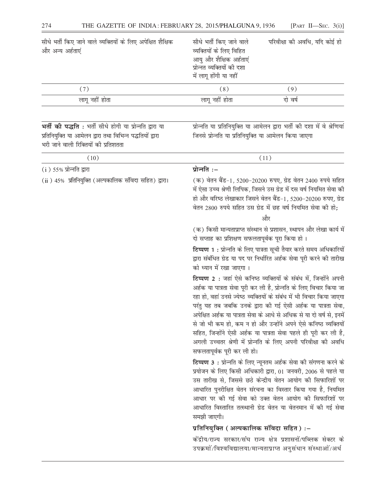| सीधे भर्ती किए जाने वाले व्यक्तियों के लिए अपेक्षित शैक्षिक<br>और अन्य अर्हताएं | सीधे भर्ती किए जाने वाले<br>व्यक्तियों के लिए विहित<br>आयु और शैक्षिक अर्हताएं<br>प्रोन्नत व्यक्तियों की दशा<br>में लागू होंगी या नहीं | परिवीक्षा की अवधि, यदि कोई हो |
|---------------------------------------------------------------------------------|----------------------------------------------------------------------------------------------------------------------------------------|-------------------------------|
| (7)                                                                             | (8)                                                                                                                                    | (9)                           |
| लागू नहीं होता                                                                  | लागू नहीं होता                                                                                                                         | दो वर्ष                       |

भर्ती की पद्धति : भर्ती सीधे होगी या प्रोन्नति द्वारा या प्रतिनियुक्ति या आमेलन द्वारा तथा विभिन्न पद्धतियों द्वारा भरी जाने वाली रिक्तियों की प्रतिशतता

प्रोन्नति या प्रतिनियुक्ति या आमेलन द्वारा भर्ती की दशा में वे श्रेणियां जिनसे प्रोन्नति या प्रतिनियुक्ति या आमेलन किया जाएगा

| (10)                                                   | (11)                                                                                                                                                                                                                                                                                                                                                                                                                                                                                                                                                                                               |
|--------------------------------------------------------|----------------------------------------------------------------------------------------------------------------------------------------------------------------------------------------------------------------------------------------------------------------------------------------------------------------------------------------------------------------------------------------------------------------------------------------------------------------------------------------------------------------------------------------------------------------------------------------------------|
| $(i)$ 55% प्रोन्नति द्वारा                             | प्रोन्नति:-                                                                                                                                                                                                                                                                                                                                                                                                                                                                                                                                                                                        |
| (ii) 45% प्रतिनियुक्ति (अल्पकालिक संविदा सहित) द्वारा। | (क) वेतन बैंड-1, 5200-20200 रुपए, ग्रेड वेतन 2400 रुपये सहित<br>में ऐसा उच्च श्रेणी लिपिक, जिसने उस ग्रेड में दस वर्ष नियमित सेवा की<br>हो और वरिष्ठ लेखाकार जिसने वेतन बैंड-1, 5200-20200 रुपए, ग्रेड<br>वेतन 2800 रुपये सहित उस ग्रेड में छह वर्ष नियमित सेवा की हो;<br>और                                                                                                                                                                                                                                                                                                                       |
|                                                        | (क) किसी मान्यताप्राप्त संस्थान से प्रशासन, स्थापन और लेखा कार्य में<br>दो सप्ताह का प्रशिक्षण सफलतापूर्वक पूरा किया हो।                                                                                                                                                                                                                                                                                                                                                                                                                                                                           |
|                                                        | टिप्पण 1 : प्रोन्नति के लिए पात्रता सूची तैयार करते समय अधिकारियों<br>द्वारा संबंधित ग्रेड या पद पर निर्धारित अर्हक सेवा पूरी करने की तारीख<br>को ध्यान में रखा जाएगा।                                                                                                                                                                                                                                                                                                                                                                                                                             |
|                                                        | टिप्पण 2 : जहां ऐसे कनिष्ठ व्यक्तियों के संबंध में, जिन्होंने अपनी<br>अर्हक या पात्रता सेवा पूरी कर ली है, प्रोन्नति के लिए विचार किया जा<br>रहा हो, वहां उनसे ज्येष्ठ व्यक्तियों के संबंध में भी विचार किया जाएगा<br>परंतु यह तब जबकि उनके द्वारा की गई ऐसी अर्हक या पात्रता सेवा,<br>अपेक्षित अर्हक या पात्रता सेवा के आधे से अधिक से या दो वर्ष से, इनमें<br>से जो भी कम हो, कम न हो और उन्होंने अपने ऐसे कनिष्ठ व्यक्तियों<br>सहित, जिन्होंने ऐसी अर्हक या पात्रता सेवा पहले ही पूरी कर ली है,<br>अगली उच्चतर श्रेणी में प्रोन्नति के लिए अपनी परिवीक्षा की अवधि<br>सफलतापूर्वक पूरी कर ली हो। |
|                                                        | टिप्पण 3: प्रोन्नति के लिए न्यूनतम अर्हक सेवा की संगणना करने के<br>प्रयोजन के लिए किसी अधिकारी द्वारा, 01 जनवरी, 2006 से पहले या<br>उस तारीख से, जिससे छठे केन्द्रीय वेतन आयोग की सिफारिशों पर<br>आधारित पुनरीक्षित वेतन संरचना का विस्तार किया गया है, नियमित<br>आधार पर की गई सेवा को उक्त वेतन आयोग की सिफारिशों पर<br>आधारित विस्तारित तत्स्थानी ग्रेड वेतन या वेतनमान में की गई सेवा<br>समझी जाएगी।                                                                                                                                                                                           |
|                                                        | प्रतिनियुक्ति (अल्पकालिक संविदा सहित) :-                                                                                                                                                                                                                                                                                                                                                                                                                                                                                                                                                           |
|                                                        | कोंद्रीय/राज्य सरकार/संघ राज्य क्षेत्र प्रशासनों/पब्लिक सेक्टर के<br>उपक्रमों/विश्वविद्यालया/मान्यताप्राप्त अनुसंधान संस्थाओं/अर्ध                                                                                                                                                                                                                                                                                                                                                                                                                                                                 |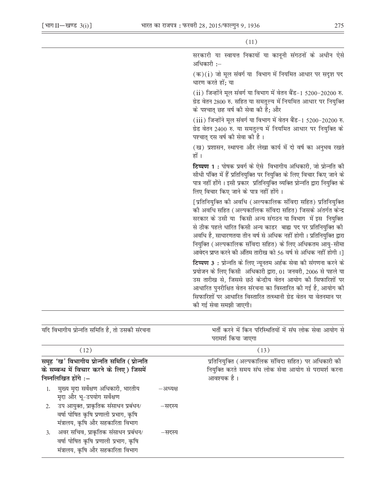$\frac{1}{2}$ 

 $(11)$ 

| सरकारी या स्वायत्त निकायों या कानूनी संगठनों के अधीन ऐसे<br>अधिकारी :–                                                                                                                                                                                                                                                                                                                                                                                             |
|--------------------------------------------------------------------------------------------------------------------------------------------------------------------------------------------------------------------------------------------------------------------------------------------------------------------------------------------------------------------------------------------------------------------------------------------------------------------|
| (क)(i) जो मूल संवर्ग या विभाग में नियमित आधार पर सदृश पद<br>धारण करते हों: या                                                                                                                                                                                                                                                                                                                                                                                      |
| (ii) जिन्होंने मूल संवर्ग या विभाग में वेतन बैंड-1 5200-20200 रु.<br>ग्रेड वेतन 2800 रु. सहित या समतुल्य में नियमित आधार पर नियुक्ति<br>के पश्चात् छह वर्ष की सेवा की है; और                                                                                                                                                                                                                                                                                       |
| (iii) जिन्होंने मूल संवर्ग या विभाग में वेतन बैंड-1 5200-20200 रु.<br>ग्रेड वेतन 2400 रु. या समतुल्य में नियमित आधार पर नियुक्ति के<br>पश्चात् दस वर्ष की सेवा की है।                                                                                                                                                                                                                                                                                              |
| (ख) प्रशासन, स्थापना और लेखा कार्य में दो वर्ष का अनुभव रखते<br>हों ।                                                                                                                                                                                                                                                                                                                                                                                              |
| <b>टिप्पण 1:</b> पोषक प्रवर्ग के ऐसे विभागीय अधिकारी, जो प्रोन्नति की<br>सीधी पंक्ति में हैं प्रतिनियुक्ति पर नियुक्ति के लिए विचार किए जाने के<br>पात्र नहीं होंगे। इसी प्रकार प्रतिनियुक्ति व्यक्ति प्रोन्नति द्वारा नियुक्ति के<br>लिए विचार किए जाने के पात्र नहीं होंगे।                                                                                                                                                                                      |
| [प्रतिनियुक्ति को अवधि (अल्पकालिक संविदा सहित) प्रतिनियुक्ति<br>को अवधि सहित (अल्पकालिक संविदा सहित) जिसके अंतर्गत केन्द्र<br>सरकार के उसी या  किसी अन्य संगठन या विभाग  में इस  नियुक्ति<br>से ठीक पहले धारित किसी अन्य काडर  बाह्य पद पर प्रतिनियुक्ति की<br>अवधि है, साधारणतया तीन वर्ष से अधिक नहीं होगी । प्रतिनियुक्ति द्वारा<br>नियुक्ति (अल्पकालिक संविदा सहित) के लिए अधिकतम आयु-सीमा<br>आवेदन प्राप्त करने की अंतिम तारीख को 56 वर्ष से अधिक नहीं होगी।] |
| टिप्पण 3: प्रोन्नति के लिए न्यूनतम अर्हक सेवा की संगणना करने के<br>प्रयोजन के लिए किसी अधिकारी द्वारा, 01 जनवरी, 2006 से पहले या<br>उस तारीख से, जिससे छठे केन्द्रीय वेतन आयोग की सिफारिशों पर<br>आधारित पुनरीक्षित वेतन संरचना का विस्तारित की गई है, आयोग की<br>सिफारिशों पर आधारित विस्तारित तत्स्थानी ग्रेड वेतन या वेतनमान पर<br>की गई सेवा समझी जाएगी।                                                                                                       |

| यदि विभागीय प्रोन्नति समिति है, तो उसकी संरचना                                                                       |          | भर्ती करने में किन परिस्थितियों में संघ लोक सेवा आयोग से<br>परामर्श किया जाएगा                                            |  |  |
|----------------------------------------------------------------------------------------------------------------------|----------|---------------------------------------------------------------------------------------------------------------------------|--|--|
| (12)                                                                                                                 |          | (13)                                                                                                                      |  |  |
| समूह 'ख' विभागीय प्रोन्नति समिति (प्रोन्नति<br>के सम्बन्ध में विचार करने के लिए) जिसमें<br>निम्नलिखित होंगे :-       |          | प्रतिनियुक्ति (अल्पकालिक संविदा सहित) पर अधिकारी की<br>नियुक्ति करते समय संघ लोक सेवा आयोग से परामर्श करना<br>आवश्यक है । |  |  |
| मुख्य मृदा सर्वेक्षण अधिकारी, भारतीय<br>मृदा और भू-उपयोग सर्वेक्षण                                                   | –अध्यक्ष |                                                                                                                           |  |  |
| 2. उप आयुक्त, प्राकृतिक संसाधन प्रबंधन/<br>वर्षा पोषित कृषि प्रणाली प्रभाग, कृषि<br>मंत्रालय, कृषि और सहकारिता विभाग | –सदस्य   |                                                                                                                           |  |  |
| 3. अवर सचिव, प्राकृतिक संसाधन प्रबंधन/<br>वर्षा पोषित कृषि प्रणाली प्रभाग, कृषि<br>मंत्रालय, कृषि और सहकारिता विभाग  | –सदस्य   |                                                                                                                           |  |  |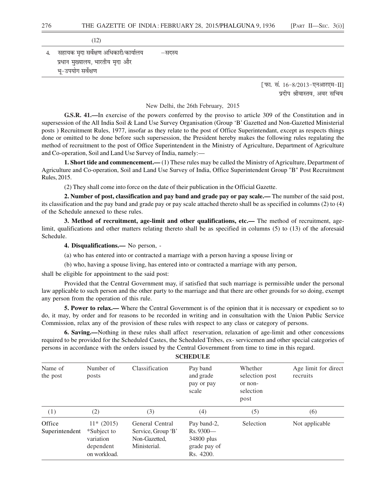|    | (12)                                  |        |
|----|---------------------------------------|--------|
| 4. | सहायक मृदा सर्वेक्षण अधिकारी/कार्यालय | —सदस्य |
|    | प्रधान मुख्यालय, भारतीय मृदा और       |        |
|    | भू-उपयोग सर्वेक्षण                    |        |

[फा. सं.  $16 - 8/2013$ -एनआरएम-II] प्रदीप श्रीवास्तव. अवर सचिव

New Delhi, the 26th February, 2015

**G.S.R. 41.—**In exercise of the powers conferred by the proviso to article 309 of the Constitution and in supersession of the All India Soil & Land Use Survey Organisation (Group 'B' Gazetted and Non-Gazetted Ministerial posts ) Recruitment Rules, 1977, insofar as they relate to the post of Office Superintendant, except as respects things done or omitted to be done before such supersession, the President hereby makes the following rules regulating the method of recruitment to the post of Office Superintendent in the Ministry of Agriculture, Department of Agriculture and Co-operation, Soil and Land Use Survey of India, namely:—

**1. Short tide and commencement.**—(1) These rules may be called the Ministry of Agriculture, Department of Agriculture and Co-operation, Soil and Land Use Survey of India, Office Superintendent Group "B" Post Recruitment Rules, 2015.

(2) They shall come into force on the date of their publication in the Official Gazette.

**2. Number of post, classification and pay band and grade pay or pay scale.—** The number of the said post, its classification and the pay band and grade pay or pay scale attached thereto shall be as specified in columns (2) to (4) of the Schedule annexed to these rules.

**3. Method of recruitment, age-limit and other qualifications, etc.—** The method of recruitment, agelimit, qualifications and other matters relating thereto shall be as specified in columns (5) to (13) of the aforesaid Schedule.

**4. Disqualifications.—** No person, -

(a) who has entered into or contracted a marriage with a person having a spouse living or

(b) who, having a spouse living, has entered into or contracted a marriage with any person,

shall be eligible for appointment to the said post:

Provided that the Central Government may, if satisfied that such marriage is permissible under the personal law applicable to such person and the other party to the marriage and that there are other grounds for so doing, exempt any person from the operation of this rule.

**5. Power to relax.—** Where the Central Government is of the opinion that it is necessary or expedient so to do, it may, by order and for reasons to be recorded in writing and in consultation with the Union Public Service Commission, relax any of the provision of these rules with respect to any class or category of persons.

**6. Saving.—**Nothing in these rules shall affect reservation, relaxation of age-limit and other concessions required to be provided for the Scheduled Castes, the Scheduled Tribes, ex- servicemen and other special categories of persons in accordance with the orders issued by the Central Government from time to time in this regard.

**SCHEDULE**

| Name of<br>the post                                                                                                                                                        | Number of<br>posts | Classification                                                       | Pay band<br>and grade<br>pay or pay<br>scale | Whether<br>selection post<br>or non-<br>selection<br>post | Age limit for direct<br>recruits |  |  |
|----------------------------------------------------------------------------------------------------------------------------------------------------------------------------|--------------------|----------------------------------------------------------------------|----------------------------------------------|-----------------------------------------------------------|----------------------------------|--|--|
| (1)                                                                                                                                                                        | (2)                | (3)                                                                  | (4)                                          | (5)                                                       | (6)                              |  |  |
| Office<br>$11*(2015)$<br>General Central<br>*Subject to<br>Superintendent<br>Service, Group 'B'<br>variation<br>Non-Gazetted.<br>Ministerial.<br>dependent<br>on workload. |                    | Pay band-2,<br>$Rs.9300-$<br>34800 plus<br>grade pay of<br>Rs. 4200. | Selection                                    | Not applicable                                            |                                  |  |  |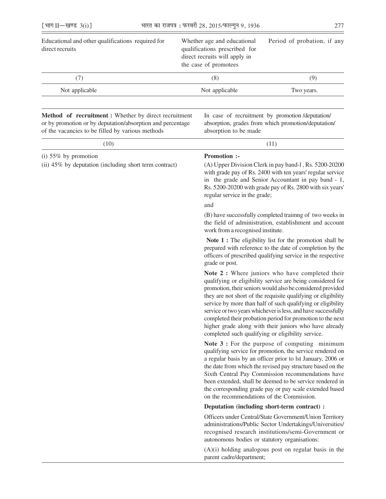| [भाग II-खण्ड $3(i)$ ]                                                                                                                                                                 |                                                                                                                        | भारत का राजपत्र: फरवरी 28, 2015/फाल्गुन 9, 1936 | 277                                                                                                    |  |
|---------------------------------------------------------------------------------------------------------------------------------------------------------------------------------------|------------------------------------------------------------------------------------------------------------------------|-------------------------------------------------|--------------------------------------------------------------------------------------------------------|--|
| Educational and other qualifications required for<br>direct recruits                                                                                                                  | Whether age and educational<br>qualifications prescribed for<br>direct recruits will apply in<br>the case of promotees |                                                 | Period of probation, if any                                                                            |  |
| (7)                                                                                                                                                                                   |                                                                                                                        | (8)                                             | (9)                                                                                                    |  |
| Not applicable                                                                                                                                                                        |                                                                                                                        | Not applicable                                  | Two years.                                                                                             |  |
| <b>Method</b> of <b>recruitment</b> : Whether by direct recruitment<br>or by promotion or by deputation/absorption and percentage<br>of the vacancies to be filled by various methods |                                                                                                                        | absorption to be made                           | In case of recruitment by promotion/deputation/<br>absorption, grades from which promotion/deputation/ |  |
| (10)                                                                                                                                                                                  |                                                                                                                        |                                                 | (11)                                                                                                   |  |
| $(i)$ 55% by promotion<br>(ii) 45% by deputation (including short term contract)                                                                                                      |                                                                                                                        | <b>Promotion:-</b>                              | (A) Upper Division Clerk in pay band-1, Rs. 5200-20200                                                 |  |

with grade pay of Rs. 2400 with ten years' regular service in the grade and Senior Accountant in pay band - 1, Rs. 5200-20200 with grade pay of Rs. 2800 with six years' regular service in the grade;

#### and

(B) have successfully completed traimng of two weeks in the field of administration, establishment and account work from a recognised institute.

Note 1 : The eligibility list for the promotion shall be prepared with reference to the date of completion by the officers of prescribed qualifying service in the respective grade or post.

**Note 2 :** Where juniors who have completed their qualifying or eligibility service are being considered for promotion, their seniors would also be considered provided they are not short of the requisite qualifying or eligibility service by more than half of such qualifying or eligibility service or two years whichever is less, and have successfully completed their probation period for promotion to the next higher grade along with their juniors who have already completed such qualifying or eligibility service.

**Note 3 :** For the purpose of computing minimum qualifying service for promotion, the service rendered on a regular basis by an officer prior to lst January, 2006 or the date from which the revised pay structure based on the Sixth Central Pay Commission recommendations have been extended, shall be deemed to be service rendered in the corresponding grade pay or pay scale extended based on the recommendations of the Commission.

### **Deputation (including short-term contract) :**

Officers under Central/State Government/Union Territory administrations/Public Sector Undertakings/Universities/ recognised research institutions/semi-Government or autonomous bodies or statutory organisations:

(A)(i) holding analogous post on regular basis in the parent cadre/department;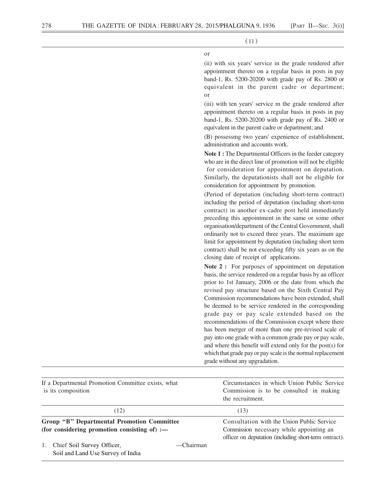or

(11)

(ii) with six years' service in the grade rendered after appointment thereto on a regular basis in posts in pay

|                                                                                                   | band-1, Rs. 5200-20200 with grade pay of Rs. 2800 or<br>equivalent in the parent cadre or department;<br>or                                                                                                                                                                                                                                                                                                                                                                                                                                                                                                                                                                                                                                       |
|---------------------------------------------------------------------------------------------------|---------------------------------------------------------------------------------------------------------------------------------------------------------------------------------------------------------------------------------------------------------------------------------------------------------------------------------------------------------------------------------------------------------------------------------------------------------------------------------------------------------------------------------------------------------------------------------------------------------------------------------------------------------------------------------------------------------------------------------------------------|
|                                                                                                   | (iii) with ten years' service m the grade rendered after<br>appointment thereto on a regular basis in posts in pay<br>band-1, Rs. 5200-20200 with grade pay of Rs. 2400 or<br>equivalent in the parent cadre or department; and                                                                                                                                                                                                                                                                                                                                                                                                                                                                                                                   |
|                                                                                                   | (B) possessmg two years' expenience of establishment,<br>administration and accounts work.                                                                                                                                                                                                                                                                                                                                                                                                                                                                                                                                                                                                                                                        |
|                                                                                                   | Note 1 : The Departmental Officers in the feeder category<br>who are in the direct line of promotion will not be eligible<br>for consideration for appointment on deputation.<br>Similarly, the deputationists shall not be eligible for<br>consideration for appointment by promotion.                                                                                                                                                                                                                                                                                                                                                                                                                                                           |
|                                                                                                   | (Period of deputation (including short-term contract)<br>including the period of deputation (including short-term<br>contract) in another ex-cadre post held immediately<br>preceding this appointment in the same or some other<br>organisation/department of the Central Government, shall<br>ordinarily not to exceed three years. The maximum age<br>limit for appointment by deputation (including short term<br>contract) shall be not exceeding fifty six years as on the<br>closing date of receipt of applications.                                                                                                                                                                                                                      |
|                                                                                                   | Note 2 : For purposes of appointment on deputation<br>basis, the service rendered on a regular basis by an officer<br>prior to 1st January, 2006 or the date from which the<br>revised pay structure based on the Sixth Central Pay<br>Commission recommendations have been extended, shall<br>be deemed to be service rendered in the corresponding<br>grade pay or pay scale extended based on the<br>recommendations of the Commission except where there<br>has been merger of more than one pre-revised scale of<br>pay into one grade with a common grade pay or pay scale,<br>and where this benefit will extend only for the post(s) for<br>which that grade pay or pay scale is the normal replacement<br>grade without any upgradation. |
| If a Departmental Promotion Committee exists, what<br>is its composition                          | Circumstances in which Union Public Service<br>Commission is to be consulted in making<br>the recruitment.                                                                                                                                                                                                                                                                                                                                                                                                                                                                                                                                                                                                                                        |
| (12)                                                                                              | (13)                                                                                                                                                                                                                                                                                                                                                                                                                                                                                                                                                                                                                                                                                                                                              |
| <b>Group "B" Departmental Promotion Committee</b><br>(for considering promotion consisting of) :- | Consultation with the Union Public Service<br>Commission necessary while appointing an<br>officer on deputation (including short-term ontract).                                                                                                                                                                                                                                                                                                                                                                                                                                                                                                                                                                                                   |